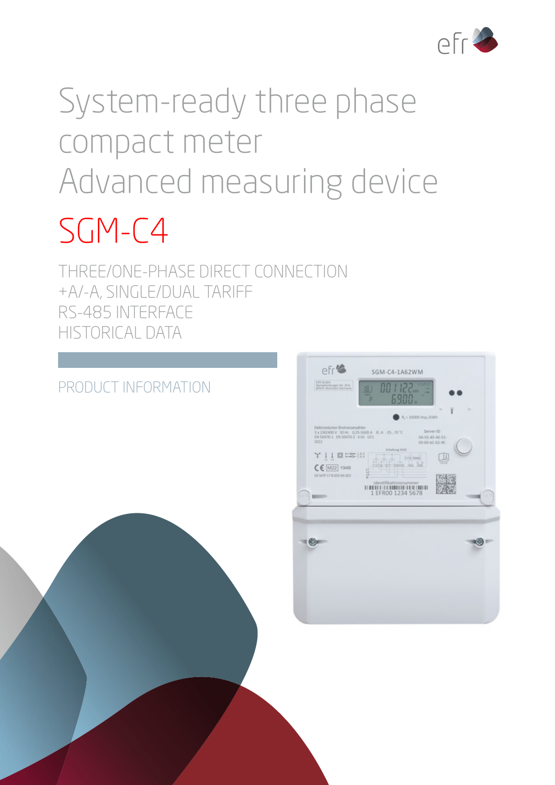

# System-ready three phase compact meter Advanced measuring device

## SGM-C4

THREE/ONE-PHASE DIRECT CONNECTION +A/-A, SINGLE/DUAL TARIFF RS-485 INTERFACE HISTORICAL DATA

### PRODUCT INFORMATION

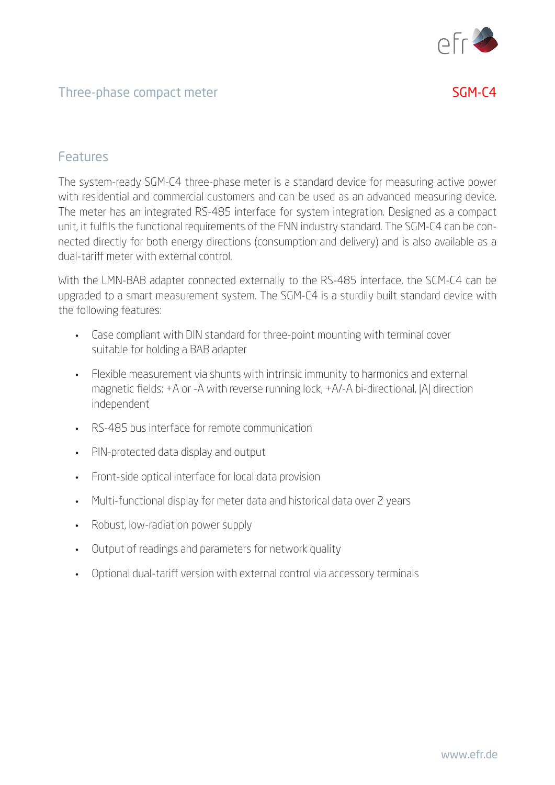

#### Three-phase compact meter SGM-C4

#### Features

The system-ready SGM-C4 three-phase meter is a standard device for measuring active power with residential and commercial customers and can be used as an advanced measuring device. The meter has an integrated RS-485 interface for system integration. Designed as a compact unit, it fulfils the functional requirements of the FNN industry standard. The SGM-C4 can be connected directly for both energy directions (consumption and delivery) and is also available as a dual-tariff meter with external control.

With the LMN-BAB adapter connected externally to the RS-485 interface, the SCM-C4 can be upgraded to a smart measurement system. The SGM-C4 is a sturdily built standard device with the following features:

- Case compliant with DIN standard for three-point mounting with terminal cover suitable for holding a BAB adapter
- Flexible measurement via shunts with intrinsic immunity to harmonics and external magnetic fields: +A or -A with reverse running lock, +A/-A bi-directional, |A| direction independent
- RS-485 bus interface for remote communication
- PIN-protected data display and output
- Front-side optical interface for local data provision
- Multi-functional display for meter data and historical data over 2 years
- Robust, low-radiation power supply
- Output of readings and parameters for network quality
- Optional dual-tariff version with external control via accessory terminals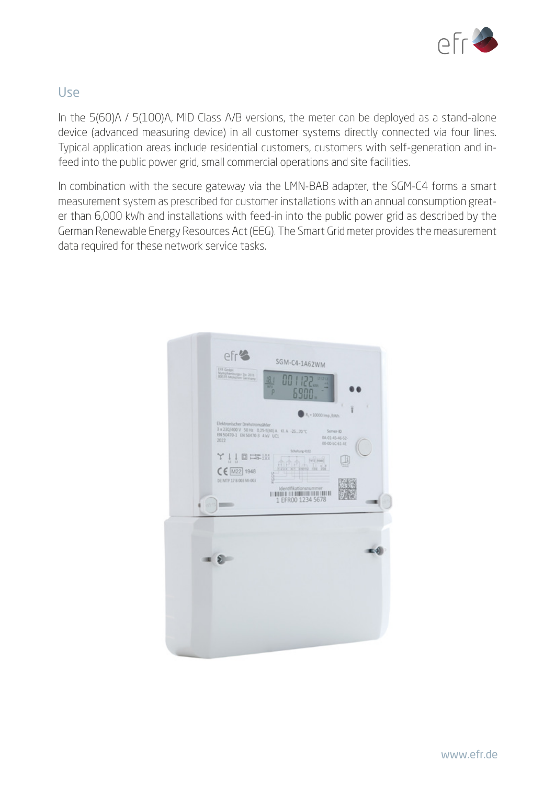

#### Use

In the 5(60)A / 5(100)A, MID Class A/B versions, the meter can be deployed as a stand-alone device (advanced measuring device) in all customer systems directly connected via four lines. Typical application areas include residential customers, customers with self-generation and infeed into the public power grid, small commercial operations and site facilities.

In combination with the secure gateway via the LMN-BAB adapter, the SGM-C4 forms a smart measurement system as prescribed for customer installations with an annual consumption greater than 6,000 kWh and installations with feed-in into the public power grid as described by the German Renewable Energy Resources Act (EEG). The Smart Grid meter provides the measurement data required for these network service tasks.

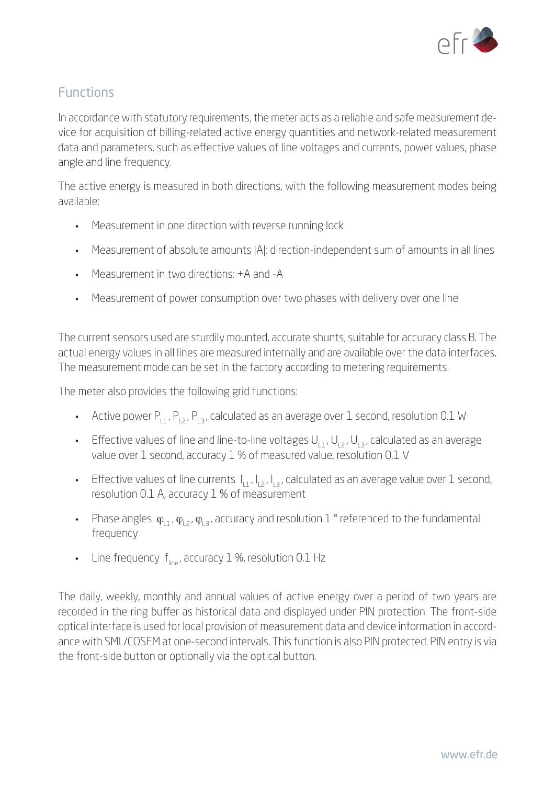

#### Functions

In accordance with statutory requirements, the meter acts as a reliable and safe measurement device for acquisition of billing-related active energy quantities and network-related measurement data and parameters, such as effective values of line voltages and currents, power values, phase angle and line frequency.

The active energy is measured in both directions, with the following measurement modes being available:

- Measurement in one direction with reverse running lock
- Measurement of absolute amounts |A|: direction-independent sum of amounts in all lines
- Measurement in two directions: +A and -A
- Measurement of power consumption over two phases with delivery over one line

The current sensors used are sturdily mounted, accurate shunts, suitable for accuracy class B. The actual energy values in all lines are measured internally and are available over the data interfaces. The measurement mode can be set in the factory according to metering requirements.

The meter also provides the following grid functions:

- Active power  $P_{1,1}$ ,  $P_{1,2}$ ,  $P_{1,3}$ , calculated as an average over 1 second, resolution 0.1 W
- Effective values of line and line-to-line voltages  $U_{11}$ ,  $U_{12}$ ,  $U_{13}$ , calculated as an average value over 1 second, accuracy 1 % of measured value, resolution 0.1 V
- Effective values of line currents  $I_{11}$ ,  $I_{12}$ ,  $I_{13}$ , calculated as an average value over 1 second, resolution 0.1 A, accuracy 1 % of measurement
- Phase angles  $\varphi_{L1}$ ,  $\varphi_{L2}$ ,  $\varphi_{L3}$ , accuracy and resolution 1° referenced to the fundamental frequency
- Line frequency  $f_{line}$ , accuracy 1 %, resolution 0.1 Hz

The daily, weekly, monthly and annual values of active energy over a period of two years are recorded in the ring buffer as historical data and displayed under PIN protection. The front-side optical interface is used for local provision of measurement data and device information in accordance with SML/COSEM at one-second intervals. This function is also PIN protected. PIN entry is via the front-side button or optionally via the optical button.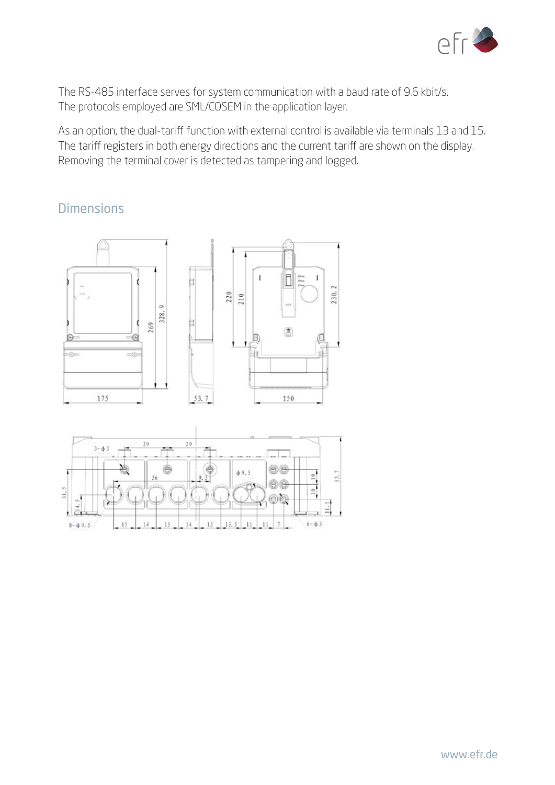

The RS-485 interface serves for system communication with a baud rate of 9.6 kbit/s. The protocols employed are SML/COSEM in the application layer.

As an option, the dual-tariff function with external control is available via terminals 13 and 15. The tariff registers in both energy directions and the current tariff are shown on the display. Removing the terminal cover is detected as tampering and logged.

#### Dimensions



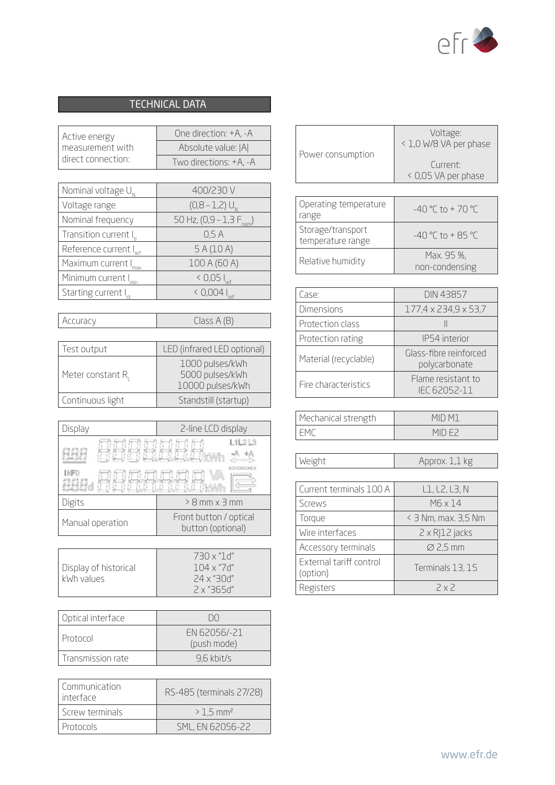

#### TECHNICAL DATA

| Active energy      | One direction: +A, -A  |
|--------------------|------------------------|
| measurement with   | Absolute value:  A     |
| direct connection: | Two directions: +A, -A |

| Nominal voltage $U_{N}$            | 400/230 V                               |
|------------------------------------|-----------------------------------------|
| Voltage range                      | $(0,8 - 1,2) U_{N}$                     |
| Nominal frequency                  | 50 Hz, $(0,9 - 1,3)$ F <sub>nom</sub> ) |
| Transition current I <sub>tr</sub> | 0.5A                                    |
| Reference current I <sub>ref</sub> | 5A(10A)                                 |
| Maximum current I <sub>max</sub>   | 100 A (60 A)                            |
| Minimum current I <sub>min</sub>   | $< 0.05 I_{ref}$                        |
| Starting current I <sub>st</sub>   | $< 0.004 I_{ref}$                       |

| Accuracy |
|----------|
|----------|

 $Class A (B)$ 

| Test output      | LED (infrared LED optional)                            |
|------------------|--------------------------------------------------------|
| Meter constant R | 1000 pulses/kWh<br>5000 pulses/kWh<br>10000 pulses/kWh |
| Continuous light | Standstill (startup)                                   |

| Display          | 2-line LCD display                          |
|------------------|---------------------------------------------|
| <b>INFO</b>      | L1L2L3<br><b>Wall</b>                       |
| Digits           | $> 8$ mm $\times$ 3 mm                      |
| Manual operation | Front button / optical<br>button (optional) |

|                       | 730 x "1 d"     |
|-----------------------|-----------------|
| Display of historical | $104 \times 71$ |
| kWh values            | .24 x "30d"     |
|                       | .2 x "365d"     |

| Optical interface | ו זו ו                      |
|-------------------|-----------------------------|
| l Protocol        | FN 62056/-21<br>(push mode) |
| Transmission rate | 9.6 kbit/s                  |

| Communication<br>l interface | RS-485 (terminals 27/28) |
|------------------------------|--------------------------|
| <b>Screw terminals</b>       | $> 1.5$ mm <sup>2</sup>  |
| Protocols                    | SML, EN 62056-22         |

| Power consumption | Voltage:<br>< 1,0 W/8 VA per phase |
|-------------------|------------------------------------|
|                   | Current:<br>< 0,05 VA per phase    |

| Operating temperature<br>range         | $-40$ °C to + 70 °C          |
|----------------------------------------|------------------------------|
| Storage/transport<br>temperature range | $-40$ °C to + 85 °C          |
| Relative humidity                      | Max. 95 %,<br>non-condensing |

| Case:                 | <b>DIN 43857</b>                        |
|-----------------------|-----------------------------------------|
| <b>Dimensions</b>     | 177,4 x 234,9 x 53,7                    |
| Protection class      |                                         |
| Protection rating     | IP54 interior                           |
| Material (recyclable) | Glass-fibre reinforced<br>polycarbonate |
| Fire characteristics  | Flame resistant to<br>IFC 62052-11      |

| Mechanical strength | MID M <sup>1</sup>                          |
|---------------------|---------------------------------------------|
|                     | $\mathsf{M}\mathsf{H}$ ) $\mathsf{H}\times$ |

Weight Approx. 1,1 kg

| Current terminals 100 A             | L1, L2, L3, N          |
|-------------------------------------|------------------------|
| Screws                              | M6 x 14                |
| Torque                              | < 3 Nm, max. 3,5 Nm    |
| Wire interfaces                     | $2 \times R$  12 jacks |
| Accessory terminals                 | $\varnothing$ 2,5 mm   |
| External tariff control<br>(option) | Terminals 13, 15       |
| Registers                           | 2x2                    |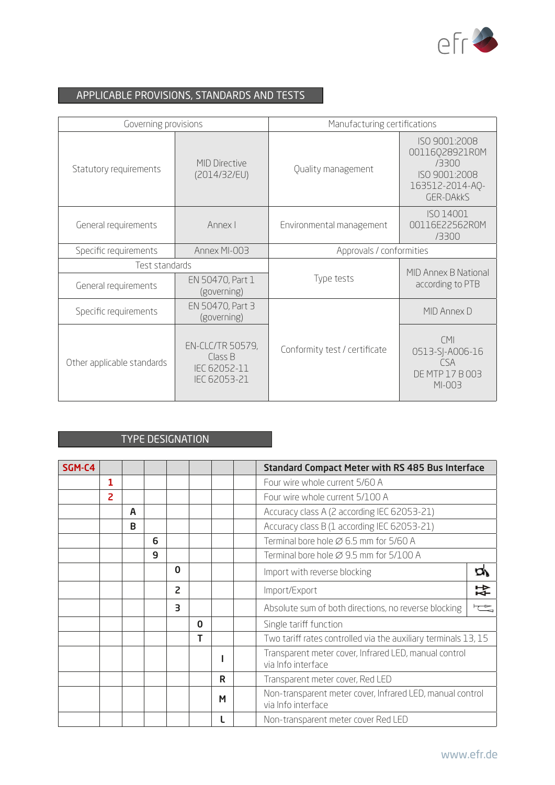

#### APPLICABLE PROVISIONS, STANDARDS AND TESTS

| Governing provisions       |                                                                    | Manufacturing certifications  |                                                                                                  |  |  |
|----------------------------|--------------------------------------------------------------------|-------------------------------|--------------------------------------------------------------------------------------------------|--|--|
| Statutory requirements     | <b>MID Directive</b><br>(2014/32/EU)                               | Quality management            | ISO 9001:2008<br>00116028921R0M<br>/3300<br>ISO 9001:2008<br>163512-2014-AQ-<br><b>GER-DAKKS</b> |  |  |
| General requirements       | Annex I                                                            | Environmental management      | ISO 14001<br>00116E22562R0M<br>/3300                                                             |  |  |
| Specific requirements      | Annex MI-003                                                       | Approvals / conformities      |                                                                                                  |  |  |
| Test standards             |                                                                    |                               | MID Annex B National                                                                             |  |  |
| General requirements       | EN 50470, Part 1<br>(governing)                                    | Type tests                    | according to PTB                                                                                 |  |  |
| Specific requirements      | EN 50470, Part 3<br>(governing)                                    |                               | MID Annex D                                                                                      |  |  |
| Other applicable standards | <b>EN-CLC/TR 50579,</b><br>Class B<br>IEC 62052-11<br>IEC 62053-21 | Conformity test / certificate | CMI<br>0513-SJ-A006-16<br><b>CSA</b><br>DE MTP 17 B 003<br>MI-003                                |  |  |

#### TYPE DESIGNATION

| SGM-C4 |   |   |   |                |             |   | <b>Standard Compact Meter with RS 485 Bus Interface</b>                         |                         |
|--------|---|---|---|----------------|-------------|---|---------------------------------------------------------------------------------|-------------------------|
|        | 1 |   |   |                |             |   | Four wire whole current 5/60 A                                                  |                         |
|        | 2 |   |   |                |             |   | Four wire whole current 5/100 A                                                 |                         |
|        |   | A |   |                |             |   | Accuracy class A (2 according IEC 62053-21)                                     |                         |
|        |   | B |   |                |             |   | Accuracy class B (1 according IEC 62053-21)                                     |                         |
|        |   |   | 6 |                |             |   | Terminal bore hole Ø 6.5 mm for 5/60 A                                          |                         |
|        |   |   | 9 |                |             |   | Terminal bore hole $\varnothing$ 9.5 mm for 5/100 A                             |                         |
|        |   |   |   | $\bf{0}$       |             |   | Import with reverse blocking                                                    | m                       |
|        |   |   |   | $\overline{c}$ |             |   | Import/Export                                                                   | 갂                       |
|        |   |   |   | 3              |             |   | Absolute sum of both directions, no reverse blocking                            | $\overline{\mathbb{Q}}$ |
|        |   |   |   |                | $\mathbf 0$ |   | Single tariff function                                                          |                         |
|        |   |   |   |                | т           |   | Two tariff rates controlled via the auxiliary terminals 13, 15                  |                         |
|        |   |   |   |                |             |   | Transparent meter cover, Infrared LED, manual control<br>via Info interface     |                         |
|        |   |   |   |                |             | R | Transparent meter cover, Red LED                                                |                         |
|        |   |   |   |                |             | M | Non-transparent meter cover, Infrared LED, manual control<br>via Info interface |                         |
|        |   |   |   |                |             |   | Non-transparent meter cover Red LED                                             |                         |